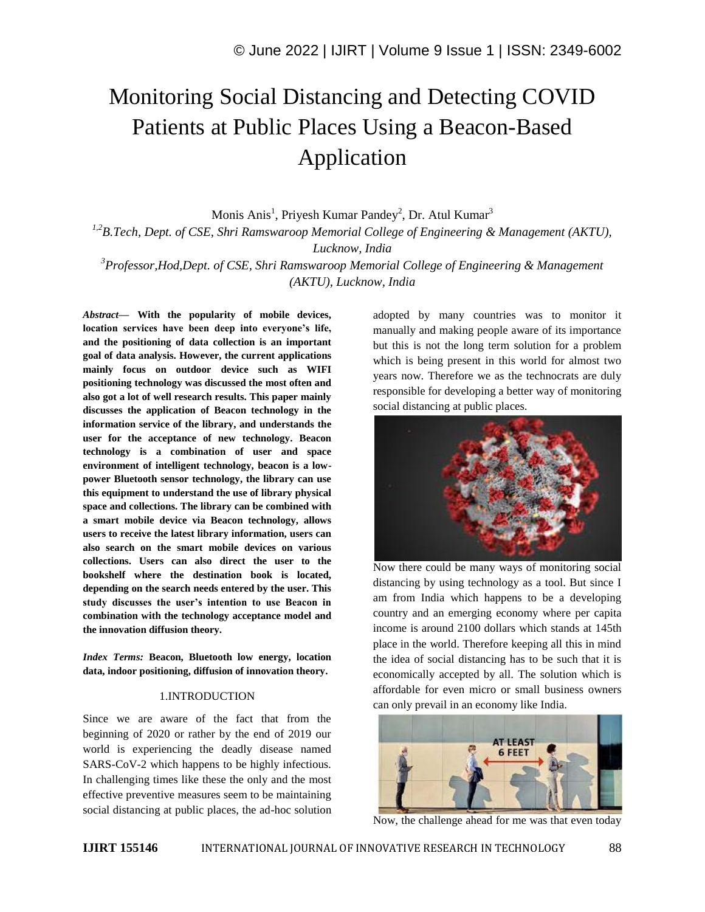# Monitoring Social Distancing and Detecting COVID Patients at Public Places Using a Beacon-Based Application

Monis Anis<sup>1</sup>, Priyesh Kumar Pandey<sup>2</sup>, Dr. Atul Kumar<sup>3</sup>

*1,2B.Tech, Dept. of CSE, Shri Ramswaroop Memorial College of Engineering & Management (AKTU),* 

*Lucknow, India*

*<sup>3</sup>Professor,Hod,Dept. of CSE, Shri Ramswaroop Memorial College of Engineering & Management (AKTU), Lucknow, India*

*Abstract—* **With the popularity of mobile devices, location services have been deep into everyone's life, and the positioning of data collection is an important goal of data analysis. However, the current applications mainly focus on outdoor device such as WIFI positioning technology was discussed the most often and also got a lot of well research results. This paper mainly discusses the application of Beacon technology in the information service of the library, and understands the user for the acceptance of new technology. Beacon technology is a combination of user and space environment of intelligent technology, beacon is a lowpower Bluetooth sensor technology, the library can use this equipment to understand the use of library physical space and collections. The library can be combined with a smart mobile device via Beacon technology, allows users to receive the latest library information, users can also search on the smart mobile devices on various collections. Users can also direct the user to the bookshelf where the destination book is located, depending on the search needs entered by the user. This study discusses the user's intention to use Beacon in combination with the technology acceptance model and the innovation diffusion theory.** 

*Index Terms:* **Beacon, Bluetooth low energy, location data, indoor positioning, diffusion of innovation theory.**

#### 1.INTRODUCTION

Since we are aware of the fact that from the beginning of 2020 or rather by the end of 2019 our world is experiencing the deadly disease named SARS-CoV-2 which happens to be highly infectious. In challenging times like these the only and the most effective preventive measures seem to be maintaining social distancing at public places, the ad-hoc solution adopted by many countries was to monitor it manually and making people aware of its importance but this is not the long term solution for a problem which is being present in this world for almost two years now. Therefore we as the technocrats are duly responsible for developing a better way of monitoring social distancing at public places.



Now there could be many ways of monitoring social distancing by using technology as a tool. But since I am from India which happens to be a developing country and an emerging economy where per capita income is around 2100 dollars which stands at 145th place in the world. Therefore keeping all this in mind the idea of social distancing has to be such that it is economically accepted by all. The solution which is affordable for even micro or small business owners can only prevail in an economy like India.



Now, the challenge ahead for me was that even today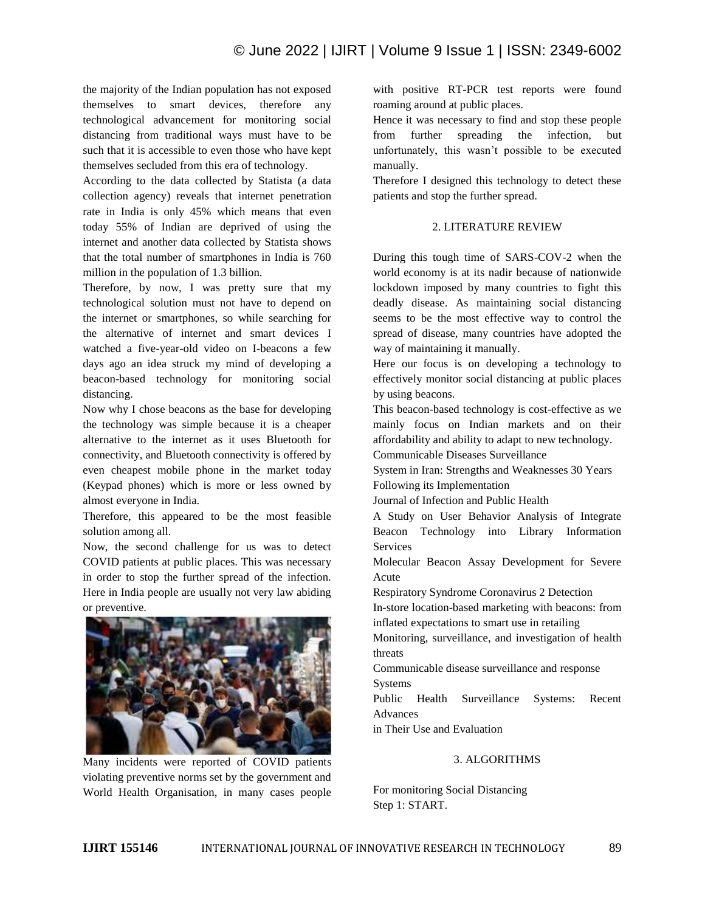the majority of the Indian population has not exposed themselves to smart devices, therefore any technological advancement for monitoring social distancing from traditional ways must have to be such that it is accessible to even those who have kept themselves secluded from this era of technology.

According to the data collected by Statista (a data collection agency) reveals that internet penetration rate in India is only 45% which means that even today 55% of Indian are deprived of using the internet and another data collected by Statista shows that the total number of smartphones in India is 760 million in the population of 1.3 billion.

Therefore, by now, I was pretty sure that my technological solution must not have to depend on the internet or smartphones, so while searching for the alternative of internet and smart devices I watched a five-year-old video on I-beacons a few days ago an idea struck my mind of developing a beacon-based technology for monitoring social distancing.

Now why I chose beacons as the base for developing the technology was simple because it is a cheaper alternative to the internet as it uses Bluetooth for connectivity, and Bluetooth connectivity is offered by even cheapest mobile phone in the market today (Keypad phones) which is more or less owned by almost everyone in India.

Therefore, this appeared to be the most feasible solution among all.

Now, the second challenge for us was to detect COVID patients at public places. This was necessary in order to stop the further spread of the infection. Here in India people are usually not very law abiding or preventive.



Many incidents were reported of COVID patients violating preventive norms set by the government and World Health Organisation, in many cases people

with positive RT-PCR test reports were found roaming around at public places.

Hence it was necessary to find and stop these people from further spreading the infection, but unfortunately, this wasn't possible to be executed manually.

Therefore I designed this technology to detect these patients and stop the further spread.

# 2. LITERATURE REVIEW

During this tough time of SARS-COV-2 when the world economy is at its nadir because of nationwide lockdown imposed by many countries to fight this deadly disease. As maintaining social distancing seems to be the most effective way to control the spread of disease, many countries have adopted the way of maintaining it manually.

Here our focus is on developing a technology to effectively monitor social distancing at public places by using beacons.

This beacon-based technology is cost-effective as we mainly focus on Indian markets and on their affordability and ability to adapt to new technology.

Communicable Diseases Surveillance

System in Iran: Strengths and Weaknesses 30 Years Following its Implementation

Journal of Infection and Public Health

A Study on User Behavior Analysis of Integrate Beacon Technology into Library Information Services

Molecular Beacon Assay Development for Severe Acute

Respiratory Syndrome Coronavirus 2 Detection

In-store location-based marketing with beacons: from inflated expectations to smart use in retailing

Monitoring, surveillance, and investigation of health threats

Communicable disease surveillance and response Systems

Public Health Surveillance Systems: Recent Advances

in Their Use and Evaluation

# 3. ALGORITHMS

For monitoring Social Distancing Step 1: START.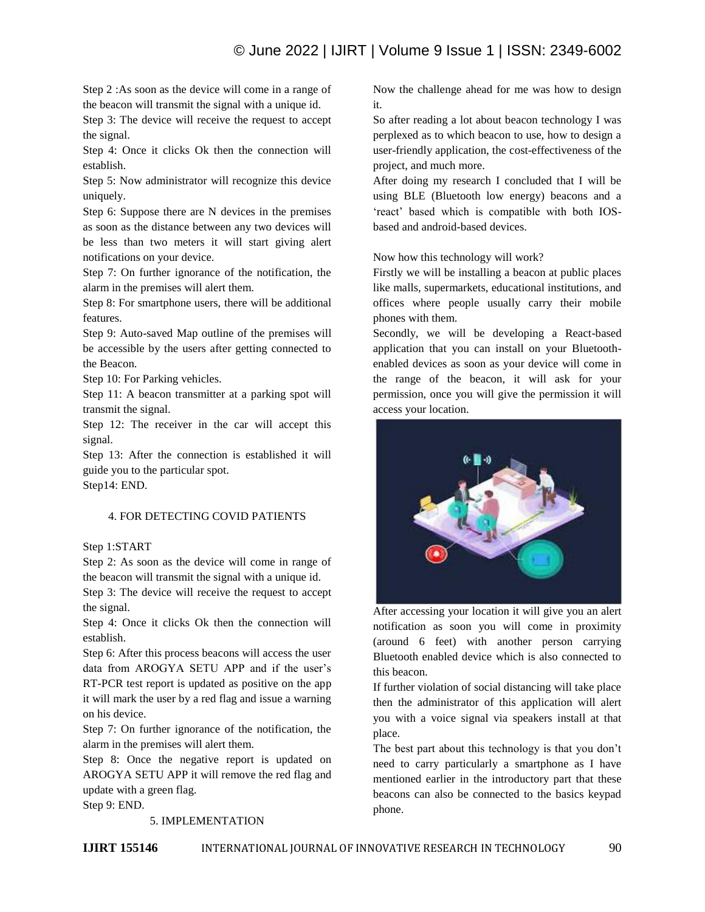Step 2 :As soon as the device will come in a range of the beacon will transmit the signal with a unique id.

Step 3: The device will receive the request to accept the signal.

Step 4: Once it clicks Ok then the connection will establish.

Step 5: Now administrator will recognize this device uniquely.

Step 6: Suppose there are N devices in the premises as soon as the distance between any two devices will be less than two meters it will start giving alert notifications on your device.

Step 7: On further ignorance of the notification, the alarm in the premises will alert them.

Step 8: For smartphone users, there will be additional features.

Step 9: Auto-saved Map outline of the premises will be accessible by the users after getting connected to the Beacon.

Step 10: For Parking vehicles.

Step 11: A beacon transmitter at a parking spot will transmit the signal.

Step 12: The receiver in the car will accept this signal.

Step 13: After the connection is established it will guide you to the particular spot. Step14: END.

# 4. FOR DETECTING COVID PATIENTS

#### Step 1:START

Step 2: As soon as the device will come in range of the beacon will transmit the signal with a unique id.

Step 3: The device will receive the request to accept the signal.

Step 4: Once it clicks Ok then the connection will establish.

Step 6: After this process beacons will access the user data from AROGYA SETU APP and if the user's RT-PCR test report is updated as positive on the app it will mark the user by a red flag and issue a warning on his device.

Step 7: On further ignorance of the notification, the alarm in the premises will alert them.

Step 8: Once the negative report is updated on AROGYA SETU APP it will remove the red flag and update with a green flag.

Step 9: END.

#### 5. IMPLEMENTATION

Now the challenge ahead for me was how to design it.

So after reading a lot about beacon technology I was perplexed as to which beacon to use, how to design a user-friendly application, the cost-effectiveness of the project, and much more.

After doing my research I concluded that I will be using BLE (Bluetooth low energy) beacons and a 'react' based which is compatible with both IOSbased and android-based devices.

Now how this technology will work?

Firstly we will be installing a beacon at public places like malls, supermarkets, educational institutions, and offices where people usually carry their mobile phones with them.

Secondly, we will be developing a React-based application that you can install on your Bluetoothenabled devices as soon as your device will come in the range of the beacon, it will ask for your permission, once you will give the permission it will access your location.



After accessing your location it will give you an alert notification as soon you will come in proximity (around 6 feet) with another person carrying Bluetooth enabled device which is also connected to this beacon.

If further violation of social distancing will take place then the administrator of this application will alert you with a voice signal via speakers install at that place.

The best part about this technology is that you don't need to carry particularly a smartphone as I have mentioned earlier in the introductory part that these beacons can also be connected to the basics keypad phone.